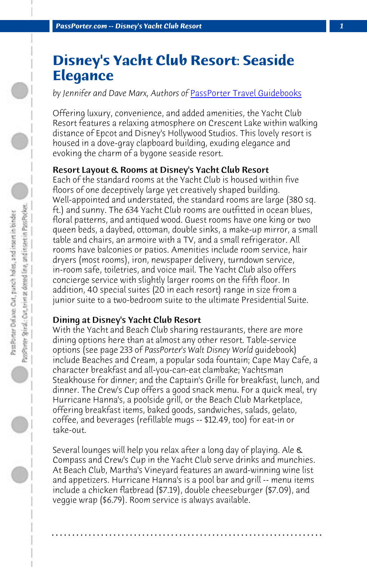**PassPorter.com -- Disney's Yacht Club Resort** 

# **Disney's Yacht Club Resort: Seaside Elegance**

*by Jennifer and Dave Marx, Authors of* PassPorter Travel Guidebooks

Offering luxury, convenience, and added amenities, the Yacht Club Resort features a relaxing atmosphere on Crescent Lake within walking distance of Epcot and Disney's Hollywood Studios. This lovely resort is housed in a dove-gray clapboard building, exuding elegance and evoking the charm of a bygone seaside resort.

#### Resort Layout & Rooms at Disney's Yacht Club Resort

Each of the standard rooms at the Yacht Club is housed within five floors of one deceptively large yet creatively shaped building. Well-appointed and understated, the standard rooms are large (380 sq. ft.) and sunny. The 634 Yacht Club rooms are outfitted in ocean blues, floral patterns, and antiqued wood. Guest rooms have one king or two queen beds, a daybed, ottoman, double sinks, a make-up mirror, a small table and chairs, an armoire with a TV, and a small refrigerator. All rooms have balconies or patios. Amenities include room service, hair dryers (most rooms), iron, newspaper delivery, turndown service, in-room safe, toiletries, and voice mail. The Yacht Club also offers concierge service with slightly larger rooms on the fifth floor. In addition, 40 special suites (20 in each resort) range in size from a junior suite to a two-bedroom suite to the ultimate Presidential Suite.

#### Dining at Disney's Yacht Club Resort

With the Yacht and Beach Club sharing restaurants, there are more dining options here than at almost any other resort. Table-service options (see page 233 of *PassPorter's Walt Disney World* guidebook) include Beaches and Cream, a popular soda fountain; Cape May Cafe, a character breakfast and all-you-can-eat clambake; Yachtsman Steakhouse for dinner; and the Captain's Grille for breakfast, lunch, and dinner. The Crew's Cup offers a good snack menu. For a quick meal, try Hurricane Hanna's, a poolside grill, or the Beach Club Marketplace, offering breakfast items, baked goods, sandwiches, salads, gelato, coffee, and beverages (refillable mugs -- \$12.49, too) for eat-in or take-out.

Several lounges will help you relax after a long day of playing. Ale & Compass and Crew's Cup in the Yacht Club serve drinks and munchies. At Beach Club, Martha's Vineyard features an award-winning wine list and appetizers. Hurricane Hanna's is a pool bar and grill -- menu items include a chicken flatbread (\$7.19), double cheeseburger (\$7.09), and veggie wrap (\$6.79). Room service is always available.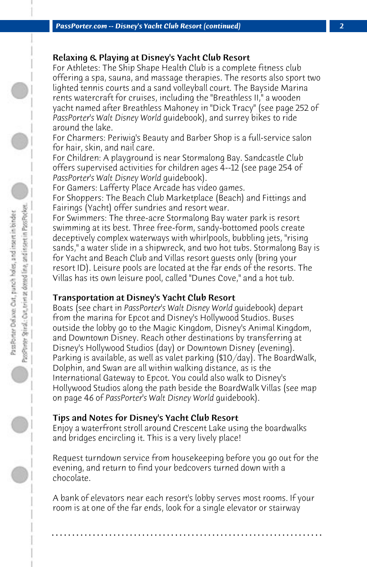# Relaxing & Playing at Disney's Yacht Club Resort

For Athletes: The Ship Shape Health Club is a complete fitness club offering a spa, sauna, and massage therapies. The resorts also sport two lighted tennis courts and a sand volleyball court. The Bayside Marina rents watercraft for cruises, including the "Breathless II," a wooden yacht named after Breathless Mahoney in "Dick Tracy" (see page 252 of *PassPorter's Walt Disney World* guidebook), and surrey bikes to ride around the lake.

For Charmers: Periwig's Beauty and Barber Shop is a full-service salon for hair, skin, and nail care.

For Children: A playground is near Stormalong Bay. Sandcastle Club offers supervised activities for children ages 4--12 (see page 254 of *PassPorter's Walt Disney World* guidebook).

For Gamers: Lafferty Place Arcade has video games. For Shoppers: The Beach Club Marketplace (Beach) and Fittings and Fairings (Yacht) offer sundries and resort wear.

For Swimmers: The three-acre Stormalong Bay water park is resort swimming at its best. Three free-form, sandy-bottomed pools create deceptively complex waterways with whirlpools, bubbling jets, "rising sands," a water slide in a shipwreck, and two hot tubs. Stormalong Bay is for Yacht and Beach Club and Villas resort guests only (bring your resort ID). Leisure pools are located at the far ends of the resorts. The Villas has its own leisure pool, called "Dunes Cove," and a hot tub.

# Transportation at Disney's Yacht Club Resort

Boats (see chart in *PassPorter's Walt Disney World* guidebook) depart from the marina for Epcot and Disney's Hollywood Studios. Buses outside the lobby go to the Magic Kingdom, Disney's Animal Kingdom, and Downtown Disney. Reach other destinations by transferring at Disney's Hollywood Studios (day) or Downtown Disney (evening). Parking is available, as well as valet parking (\$10/day). The BoardWalk, Dolphin, and Swan are all within walking distance, as is the International Gateway to Epcot. You could also walk to Disney's Hollywood Studios along the path beside the BoardWalk Villas (see map on page 46 of *PassPorter's Walt Disney World* guidebook).

# Tips and Notes for Disney's Yacht Club Resort

Enjoy a waterfront stroll around Crescent Lake using the boardwalks and bridges encircling it. This is a very lively place!

Request turndown service from housekeeping before you go out for the evening, and return to find your bedcovers turned down with a chocolate.

A bank of elevators near each resort's lobby serves most rooms. If your room is at one of the far ends, look for a single elevator or stairway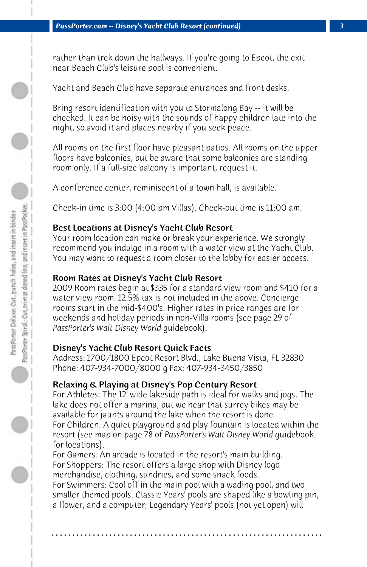rather than trek down the hallways. If you're going to Epcot, the exit near Beach Club's leisure pool is convenient.

Yacht and Beach Club have separate entrances and front desks.

Bring resort identification with you to Stormalong Bay -- it will be checked. It can be noisy with the sounds of happy children late into the night, so avoid it and places nearby if you seek peace.

All rooms on the first floor have pleasant patios. All rooms on the upper floors have balconies, but be aware that some balconies are standing room only. If a full-size balcony is important, request it.

A conference center, reminiscent of a town hall, is available.

Check-in time is 3:00 (4:00 pm Villas). Check-out time is 11:00 am.

# Best Locations at Disney's Yacht Club Resort

Your room location can make or break your experience. We strongly recommend you indulge in a room with a water view at the Yacht Club. You may want to request a room closer to the lobby for easier access.

# Room Rates at Disney's Yacht Club Resort

2009 Room rates begin at \$335 for a standard view room and \$410 for a water view room. 12.5% tax is not included in the above. Concierge rooms start in the mid-\$400's. Higher rates in price ranges are for weekends and holiday periods in non-Villa rooms (see page 29 of *PassPorter's Walt Disney World* guidebook).

# Disney's Yacht Club Resort Quick Facts

Address: 1700/1800 Epcot Resort Blvd., Lake Buena Vista, FL 32830 Phone: 407-934-7000/8000 g Fax: 407-934-3450/3850

# Relaxing & Playing at Disney's Pop Century Resort

For Athletes: The 12' wide lakeside path is ideal for walks and jogs. The lake does not offer a marina, but we hear that surrey bikes may be available for jaunts around the lake when the resort is done. For Children: A quiet playground and play fountain is located within the

resort (see map on page 78 of *PassPorter's Walt Disney World* guidebook for locations).

For Gamers: An arcade is located in the resort's main building. For Shoppers: The resort offers a large shop with Disney logo merchandise, clothing, sundries, and some snack foods.

For Swimmers: Cool off in the main pool with a wading pool, and two smaller themed pools. Classic Years' pools are shaped like a bowling pin, a flower, and a computer; Legendary Years' pools (not yet open) will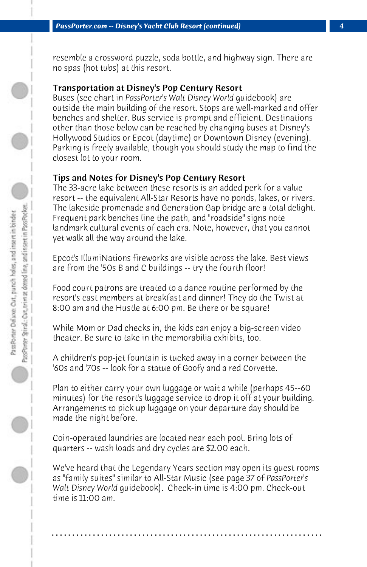resemble a crossword puzzle, soda bottle, and highway sign. There are no spas (hot tubs) at this resort.

# Transportation at Disney's Pop Century Resort

Buses (see chart in *PassPorter's Walt Disney World* guidebook) are outside the main building of the resort. Stops are well-marked and offer benches and shelter. Bus service is prompt and efficient. Destinations other than those below can be reached by changing buses at Disney's Hollywood Studios or Epcot (daytime) or Downtown Disney (evening). Parking is freely available, though you should study the map to find the closest lot to your room.

#### Tips and Notes for Disney's Pop Century Resort

The 33-acre lake between these resorts is an added perk for a value resort -- the equivalent All-Star Resorts have no ponds, lakes, or rivers. The lakeside promenade and Generation Gap bridge are a total delight. Frequent park benches line the path, and "roadside" signs note landmark cultural events of each era. Note, however, that you cannot yet walk all the way around the lake.

Epcot's IllumiNations fireworks are visible across the lake. Best views are from the '50s B and C buildings -- try the fourth floor!

Food court patrons are treated to a dance routine performed by the resort's cast members at breakfast and dinner! They do the Twist at 8:00 am and the Hustle at 6:00 pm. Be there or be square!

While Mom or Dad checks in, the kids can enjoy a big-screen video theater. Be sure to take in the memorabilia exhibits, too.

A children's pop-jet fountain is tucked away in a corner between the '60s and '70s -- look for a statue of Goofy and a red Corvette.

Plan to either carry your own luggage or wait a while (perhaps 45--60 minutes) for the resort's luggage service to drop it off at your building. Arrangements to pick up luggage on your departure day should be made the night before.

Coin-operated laundries are located near each pool. Bring lots of quarters -- wash loads and dry cycles are \$2.00 each.

We've heard that the Legendary Years section may open its guest rooms as "family suites" similar to All-Star Music (see page 37 of *PassPorter's Walt Disney World* guidebook). Check-in time is 4:00 pm. Check-out time is 11:00 am.